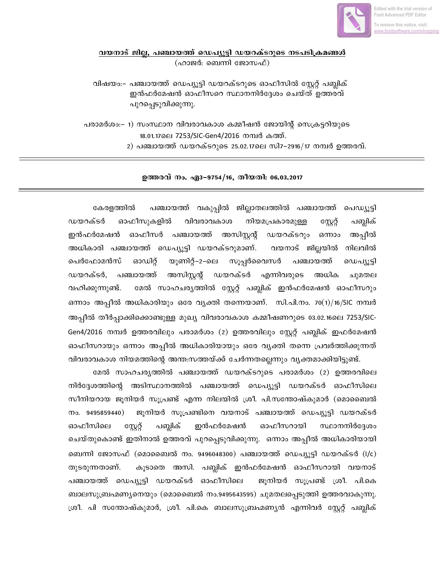

വയനാട് ജില്ല, പഞ്ചായത്ത് ഡെപ്യൂട്ടി ഡയറക്ടറുടെ നടപടിക്രമങ്ങൾ (ഹാജർ: ബെന്നി ജോസഫ്)

വിഷയം:– പഞ്ചായത്ത് ഡെപ്യൂട്ടി ഡയറക്ടറുടെ ഓഫീസിൽ സ്റ്റേറ്റ് പബ്ലിക് ഇൻഫർമേഷൻ ഓഫീസറെ സ്ഥാനനിർദ്ദേശം ചെയ്ത് ഉത്തരവ് പുറപ്പെടുവിക്കുന്നു.

പരാമർശം:– 1) സംസ്ഥാന വിവരാവകാശ കമ്മീഷൻ ജോയിന്റ് സെക്രട്ടറിയുടെ 18.01.17ലെ 7253/SIC-Gen4/2016 നമ്പർ കത്ത്. 2) പഞ്ചായത്ത് ഡയറക്ടറുടെ 25.02.17ലെ സി7–2916/17 നമ്പർ ഉത്തരവ്.

## ഉത്തരവ് നം. എ3–9754/16, തീയതി: 06.03.2017

കേരളത്തിൽ പഞ്ചായത്ത് വകുപ്പിൽ ജില്ലാതലത്തിൽ പഞ്ചായത്ത് പെഡ്യൂട്ടി ഡയറക്ടർ ഓഫീസുകളിൽ വിവരാവകാശ നിയമപ്രകാരമുള്ള സേറ്റ് പബ്ലിക് ഇൻഫർമേഷൻ ഓഫീസർ പഞ്ചായത്ത് അസിസ്റ്റന്റ് ഡയറക്ടറും ഒന്നാം അപ്പീൽ അധികാരി പഞ്ചായത്ത് ഡെപ്യൂട്ടി ഡയറക്ടറുമാണ്. വയനാട് ജില്ലയിൽ നിലവിൽ പെർഫോമൻസ് ഓഡിറ്റ് യൂണിറ്റ്−2−ലെ സൂപ്പർവൈസർ പഞ്ചായത്ത് ഡെപ്യൂട്ടി ഡയറക്ടർ, പഞ്ചായത്ത് അസിസ്റ്റന്റ് ഡയറക്ടർ എന്നിവരുടെ അധിക ചുമതല മേൽ സാഹചര്യത്തിൽ സ്റ്റേറ്റ് പബ്ലിക് ഇൻഫർമേഷൻ ഓഫീസറും വഹിക്കുന്നുണ്ട്. ഒന്നാം അപ്പീൽ അധികാരിയും ഒരേ വൃക്തി തന്നെയാണ്. സി.പി.നം. 70(1)/16/SIC നമ്പർ അപ്പീൽ തീർപ്പാക്കിക്കൊണ്ടുള്ള മുഖ്യ വിവരാവകാശ കമ്മീഷണറുടെ 03.02.16ലെ 7253/SIC-Gen4/2016 നമ്പർ ഉത്തരവിലും പരാമർശം (2) ഉത്തരവിലും സ്കേറ്റ് പബ്ലിക് ഇഫർമേഷൻ ഓഫീസറായും ഒന്നാം അപ്പീൽ അധികാരിയായും ഒരേ വ്യക്തി തന്നെ പ്രവർത്തിക്കുന്നത് വിവരാവകാശ നിയമത്തിന്റെ അന്ത:സത്തയ്ക്ക് ചേർന്നതല്ലെന്നും വ്യക്തമാക്കിയിട്ടുണ്ട്.

മേൽ സാഹചര്യത്തിൽ പഞ്ചായത്ത് ഡയറക്ടറുടെ പരാമർശം (2) ഉത്തരവിലെ നിർദ്ദേശത്തിന്റെ അടിസ്ഥാനത്തിൽ പഞ്ചായത്ത് ഡെപ്യൂട്ടി ഡയറക്ടർ ഓഫീസിലെ സീനിയറായ ജൂനിയർ സൂപ്രണ്ട് എന്ന നിലയിൽ ശ്രീ. പി.സന്തോഷ്കുമാർ (മൊബൈൽ ജൂനിയർ സൂപ്രണ്ടിനെ വയനാട് പഞ്ചായത്ത് ഡെപ്യൂട്ടി ഡയറക്ടർ  $(200.9495859440)$ ഓഫീസിലെ ဣေလွ പബ്ലിക് ഇൻഫർമേഷൻ ഓഫീസറായി സ്ഥാനനിർദ്ദേശം ചെയ്തുകൊണ്ട് ഇതിനാൽ ഉത്തരവ് പുറപ്പെടുവിക്കുന്നു. ഒന്നാം അപ്പീൽ അധികാരിയായി . ബെന്നി ജോസഫ് (മൊബൈൽ നം. 9496048300) പഞ്ചായത്ത് ഡെപ്യൂട്ടി ഡയറക്ടർ (I/c) കൂടാതെ അസി. പബ്ലിക് ഇൻഫർമേഷൻ ഓഫീസറായി വയനാട് തുടരുന്നതാണ്. പഞ്ചായത്ത് ഡെപ്യൂട്ടി ഡയറക്ടർ ഓഫീസിലെ ജുനിയർ സൂപ്രണ്ട് ശ്രീ. പി.കെ ബാലസുബ്രഹ്മണ്യനെയും (മൊബൈൽ നം.9495643595) ചുമതലപ്പെടുത്തി ഉത്തരവാകുന്നു. ശ്രീ. പി സന്തോഷ്കുമാർ, ശ്രീ. പി.കെ ബാലസുബ്രഹ്മണ്യൻ എന്നിവർ സ്ലേറ്റ് പബ്ലിക്